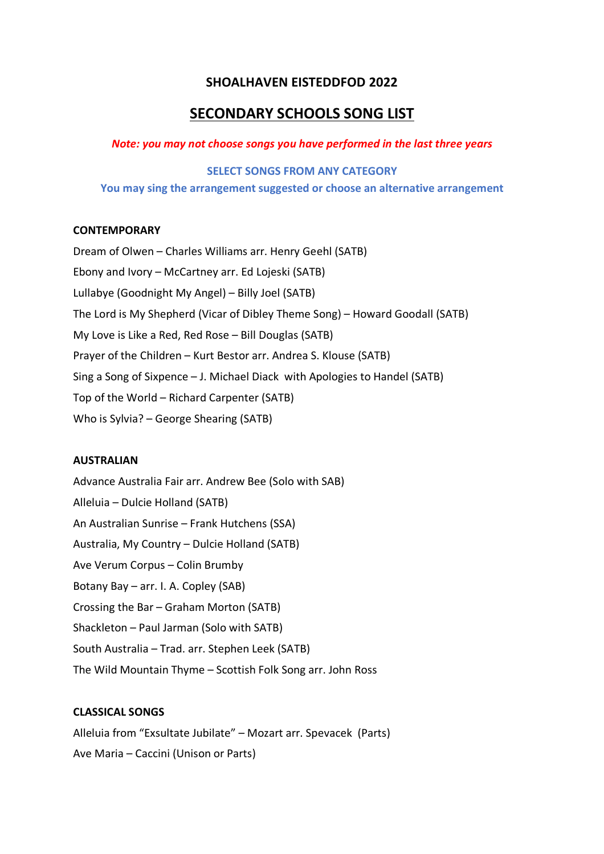## **SHOALHAVEN EISTEDDFOD 2022**

# **SECONDARY SCHOOLS SONG LIST**

## *Note: you may not choose songs you have performed in the last three years*

#### **SELECT SONGS FROM ANY CATEGORY**

**You may sing the arrangement suggested or choose an alternative arrangement**

#### **CONTEMPORARY**

Dream of Olwen – Charles Williams arr. Henry Geehl (SATB) Ebony and Ivory – McCartney arr. Ed Lojeski (SATB) Lullabye (Goodnight My Angel) – Billy Joel (SATB) The Lord is My Shepherd (Vicar of Dibley Theme Song) – Howard Goodall (SATB) My Love is Like a Red, Red Rose – Bill Douglas (SATB) Prayer of the Children – Kurt Bestor arr. Andrea S. Klouse (SATB) Sing a Song of Sixpence – J. Michael Diack with Apologies to Handel (SATB) Top of the World – Richard Carpenter (SATB) Who is Sylvia? – George Shearing (SATB)

#### **AUSTRALIAN**

Advance Australia Fair arr. Andrew Bee (Solo with SAB) Alleluia – Dulcie Holland (SATB) An Australian Sunrise – Frank Hutchens (SSA) Australia, My Country – Dulcie Holland (SATB) Ave Verum Corpus – Colin Brumby Botany Bay – arr. I. A. Copley (SAB) Crossing the Bar – Graham Morton (SATB) Shackleton – Paul Jarman (Solo with SATB) South Australia – Trad. arr. Stephen Leek (SATB) The Wild Mountain Thyme – Scottish Folk Song arr. John Ross

## **CLASSICAL SONGS**

Alleluia from "Exsultate Jubilate" – Mozart arr. Spevacek (Parts) Ave Maria – Caccini (Unison or Parts)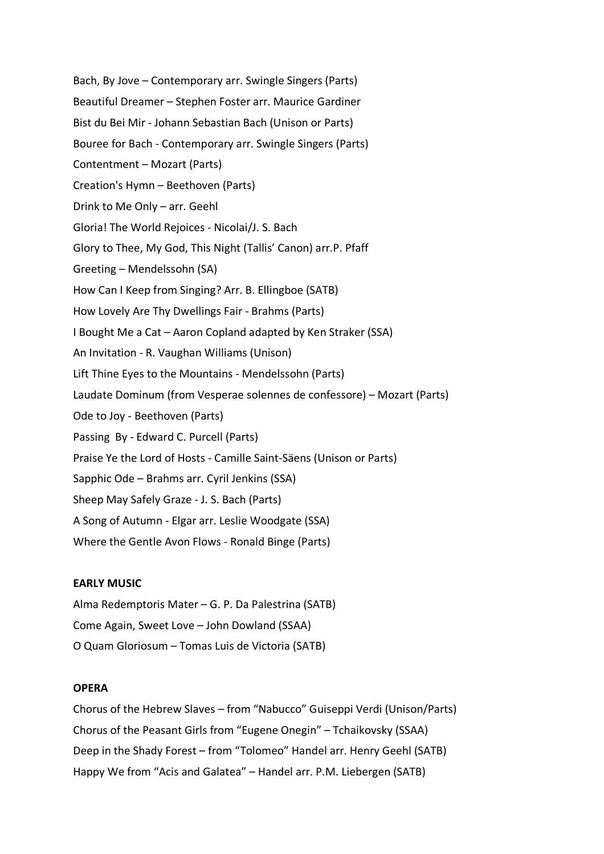Bach, By Jove – Contemporary arr. Swingle Singers (Parts) Beautiful Dreamer – Stephen Foster arr. Maurice Gardiner Bist du Bei Mir - Johann Sebastian Bach (Unison or Parts) Bouree for Bach - Contemporary arr. Swingle Singers (Parts) Contentment – Mozart (Parts) Creation's Hymn – Beethoven (Parts) Drink to Me Only – arr. Geehl Gloria! The World Rejoices - Nicolai/J. S. Bach Glory to Thee, My God, This Night (Tallis' Canon) arr.P. Pfaff Greeting – Mendelssohn (SA) How Can I Keep from Singing? Arr. B. Ellingboe (SATB) How Lovely Are Thy Dwellings Fair - Brahms (Parts) I Bought Me a Cat – Aaron Copland adapted by Ken Straker (SSA) An Invitation - R. Vaughan Williams (Unison) Lift Thine Eyes to the Mountains - Mendelssohn (Parts) Laudate Dominum (from Vesperae solennes de confessore) – Mozart (Parts) Ode to Joy - Beethoven (Parts) Passing By - Edward C. Purcell (Parts) Praise Ye the Lord of Hosts - Camille Saint-Säens (Unison or Parts) Sapphic Ode – Brahms arr. Cyril Jenkins (SSA) Sheep May Safely Graze - J. S. Bach (Parts) A Song of Autumn - Elgar arr. Leslie Woodgate (SSA) Where the Gentle Avon Flows - Ronald Binge (Parts)

## **EARLY MUSIC**

Alma Redemptoris Mater – G. P. Da Palestrina (SATB) Come Again, Sweet Love – John Dowland (SSAA) O Quam Gloriosum – Tomas Luis de Victoria (SATB)

## **OPERA**

Chorus of the Hebrew Slaves – from "Nabucco" Guiseppi Verdi (Unison/Parts) Chorus of the Peasant Girls from "Eugene Onegin" – Tchaikovsky (SSAA) Deep in the Shady Forest – from "Tolomeo" Handel arr. Henry Geehl (SATB) Happy We from "Acis and Galatea" – Handel arr. P.M. Liebergen (SATB)